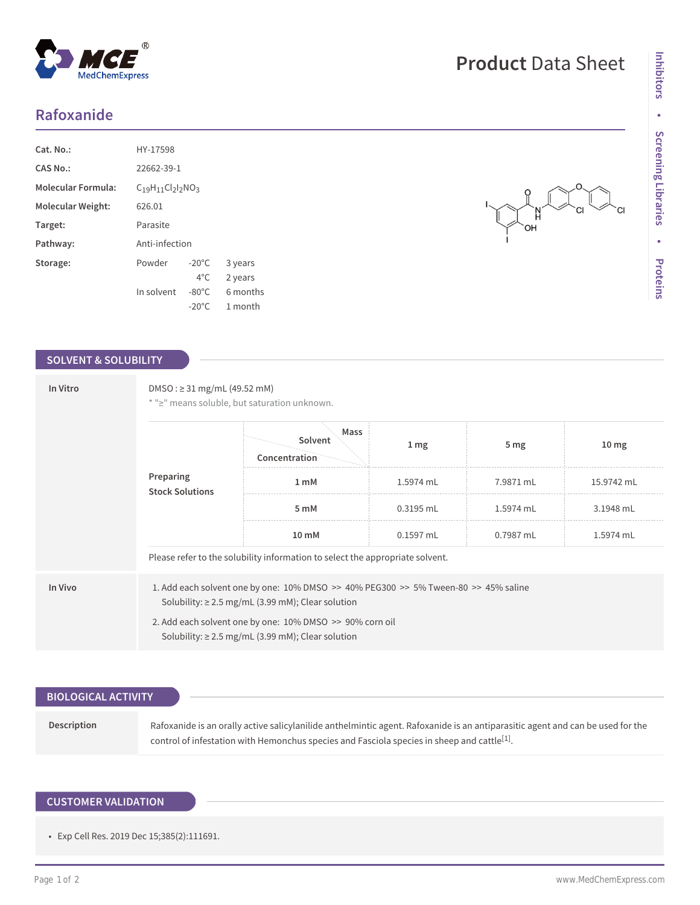# **Rafoxanide**

| Cat. No.:                 | HY-17598         |                 |          |
|---------------------------|------------------|-----------------|----------|
| CAS No.:                  | 22662-39-1       |                 |          |
| <b>Molecular Formula:</b> | $C19H11Cl2I2NO3$ |                 |          |
| Molecular Weight:         | 626.01           |                 |          |
| Target:                   | Parasite         |                 |          |
| Pathway:                  | Anti-infection   |                 |          |
| Storage:                  | Powder           | $-20^{\circ}$ C | 3 years  |
|                           |                  | $4^{\circ}$ C.  | 2 years  |
|                           | In solvent       | $-80^{\circ}$ C | 6 months |
|                           |                  | $-20^{\circ}$ C | 1 month  |

## **SOLVENT & SOLUBILITY**

| DMSO: $\geq$ 31 mg/mL (49.52 mM)<br>* ">" means soluble, but saturation unknown.                                                                                                                                                                                          |                                  |                 |                 |                  |
|---------------------------------------------------------------------------------------------------------------------------------------------------------------------------------------------------------------------------------------------------------------------------|----------------------------------|-----------------|-----------------|------------------|
|                                                                                                                                                                                                                                                                           | Mass<br>Solvent<br>Concentration | 1 <sub>mg</sub> | 5 <sub>mg</sub> | 10 <sub>mg</sub> |
| Preparing<br><b>Stock Solutions</b>                                                                                                                                                                                                                                       | 1 <sub>m</sub> M                 | 1.5974 mL       | 7.9871 mL       | 15.9742 mL       |
|                                                                                                                                                                                                                                                                           | 5 mM                             | $0.3195$ mL     | 1.5974 mL       | 3.1948 mL        |
|                                                                                                                                                                                                                                                                           | 10 mM                            | $0.1597$ mL     | 0.7987 mL       | 1.5974 mL        |
| Please refer to the solubility information to select the appropriate solvent.                                                                                                                                                                                             |                                  |                 |                 |                  |
| 1. Add each solvent one by one: $10\%$ DMSO >> $40\%$ PEG300 >> 5% Tween-80 >> 45% saline<br>Solubility: $\geq$ 2.5 mg/mL (3.99 mM); Clear solution<br>2. Add each solvent one by one: 10% DMSO >> 90% corn oil<br>Solubility: $\geq$ 2.5 mg/mL (3.99 mM); Clear solution |                                  |                 |                 |                  |
|                                                                                                                                                                                                                                                                           |                                  |                 |                 |                  |

|  | <b>SULVEIIL</b>         | 1 <sub>mg</sub> | $m\sigma$ |
|--|-------------------------|-----------------|-----------|
|  | Concentration.<br>----- |                 |           |
|  | mM                      | $E074$ m        | 7.0871 ml |

|                            | SOUDILITY: $\geq 2.5$ mg/mL (3.99 mm); Clear solution                                                                                                                                                                                     |
|----------------------------|-------------------------------------------------------------------------------------------------------------------------------------------------------------------------------------------------------------------------------------------|
|                            |                                                                                                                                                                                                                                           |
| <b>BIOLOGICAL ACTIVITY</b> |                                                                                                                                                                                                                                           |
| Description                | Rafoxanide is an orally active salicylanilide anthelmintic agent. Rafoxanide is an antiparasitic agent and can be used for the<br>control of infestation with Hemonchus species and Fasciola species in sheep and cattle <sup>[1]</sup> . |

# **CUSTOMER VALIDATION**

• Exp Cell Res. 2019 Dec 15;385(2):111691.

 $CI$